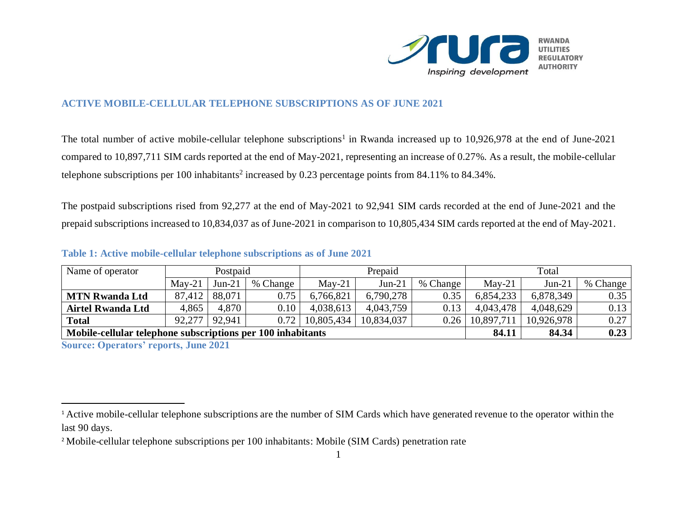

## **ACTIVE MOBILE-CELLULAR TELEPHONE SUBSCRIPTIONS AS OF JUNE 2021**

The total number of active mobile-cellular telephone subscriptions<sup>1</sup> in Rwanda increased up to 10,926,978 at the end of June-2021 compared to 10,897,711 SIM cards reported at the end of May-2021, representing an increase of 0.27%. As a result, the mobile-cellular telephone subscriptions per 100 inhabitants<sup>2</sup> increased by 0.23 percentage points from 84.11% to 84.34%.

The postpaid subscriptions rised from 92,277 at the end of May-2021 to 92,941 SIM cards recorded at the end of June-2021 and the prepaid subscriptions increased to 10,834,037 as of June-2021 in comparison to 10,805,434 SIM cards reported at the end of May-2021.

| Name of operator                                            | Postpaid |          |          | Prepaid    |            |          | Total      |            |          |
|-------------------------------------------------------------|----------|----------|----------|------------|------------|----------|------------|------------|----------|
|                                                             | $May-21$ | $Jun-21$ | % Change | $May-21$   | $Jun-21$   | % Change | $Mav-21$   | $Jun-21$   | % Change |
| <b>MTN Rwanda Ltd</b>                                       | 87,412   | 88,071   | 0.75     | 6,766,821  | 6,790,278  | 0.35     | 6,854,233  | 6,878,349  | 0.35     |
| <b>Airtel Rwanda Ltd</b>                                    | 4,865    | 4,870    | 0.10     | 4,038,613  | 4,043,759  | 0.13     | 4,043,478  | 4,048,629  | 0.13     |
| <b>Total</b>                                                | 92,277   | 92.941   | 0.72     | 10,805,434 | 10,834,037 | 0.26     | 10,897,711 | 10,926,978 | 0.27     |
| Mobile-cellular telephone subscriptions per 100 inhabitants |          |          |          |            |            |          | 84.11      | 84.34      | 0.23     |

## **Table 1: Active mobile-cellular telephone subscriptions as of June 2021**

**Source: Operators' reports, June 2021**

 $\overline{a}$ 

<sup>&</sup>lt;sup>1</sup> Active mobile-cellular telephone subscriptions are the number of SIM Cards which have generated revenue to the operator within the last 90 days.

<sup>&</sup>lt;sup>2</sup> Mobile-cellular telephone subscriptions per 100 inhabitants: Mobile (SIM Cards) penetration rate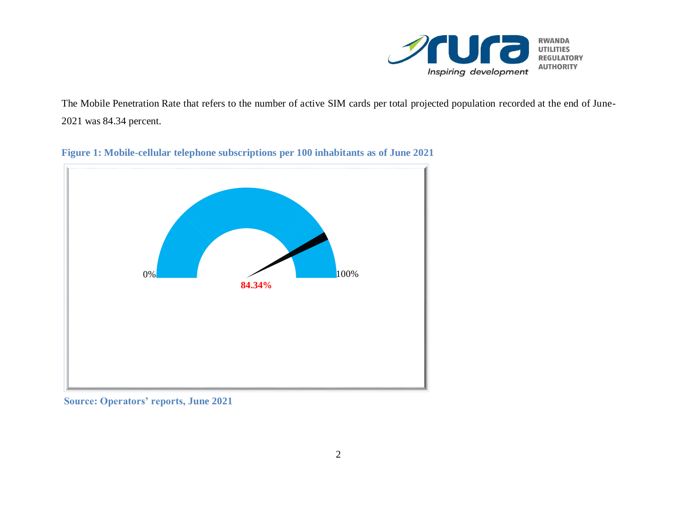

The Mobile Penetration Rate that refers to the number of active SIM cards per total projected population recorded at the end of June-2021 was 84.34 percent.



**Figure 1: Mobile-cellular telephone subscriptions per 100 inhabitants as of June 2021**

**Source: Operators' reports, June 2021**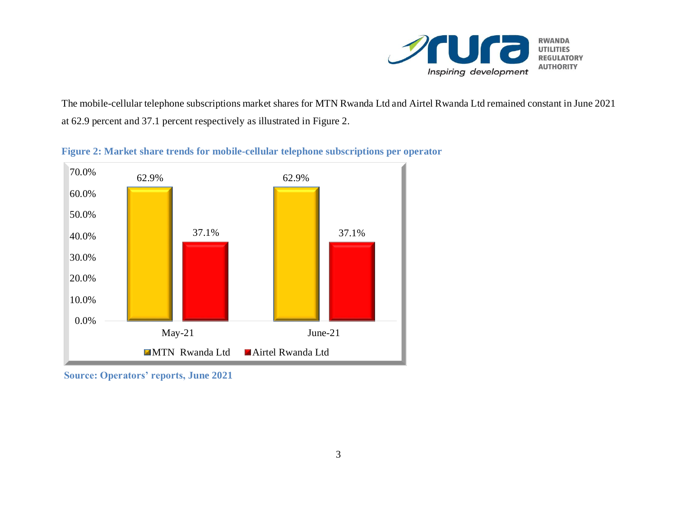

The mobile-cellular telephone subscriptions market shares for MTN Rwanda Ltd and Airtel Rwanda Ltd remained constant in June 2021 at 62.9 percent and 37.1 percent respectively as illustrated in Figure 2.

**Figure 2: Market share trends for mobile-cellular telephone subscriptions per operator**



**Source: Operators' reports, June 2021**